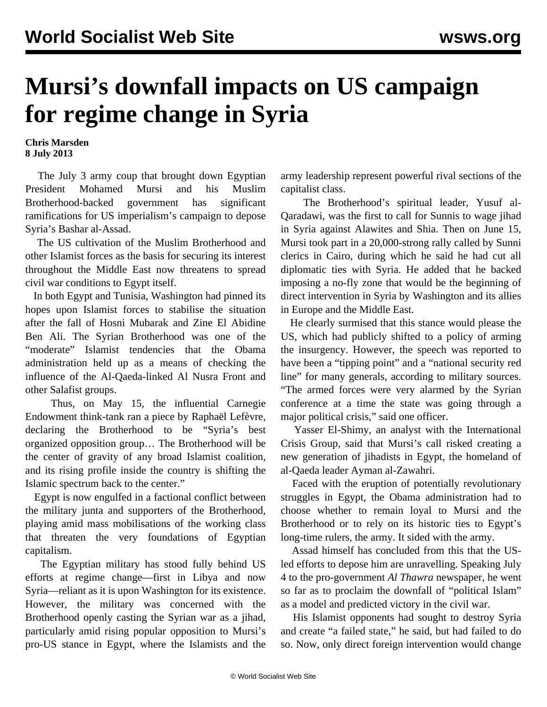## **Mursi's downfall impacts on US campaign for regime change in Syria**

## **Chris Marsden 8 July 2013**

 The July 3 army coup that brought down Egyptian President Mohamed Mursi and his Muslim Brotherhood-backed government has significant ramifications for US imperialism's campaign to depose Syria's Bashar al-Assad.

 The US cultivation of the Muslim Brotherhood and other Islamist forces as the basis for securing its interest throughout the Middle East now threatens to spread civil war conditions to Egypt itself.

 In both Egypt and Tunisia, Washington had pinned its hopes upon Islamist forces to stabilise the situation after the fall of Hosni Mubarak and Zine El Abidine Ben Ali. The Syrian Brotherhood was one of the "moderate" Islamist tendencies that the Obama administration held up as a means of checking the influence of the Al-Qaeda-linked Al Nusra Front and other Salafist groups.

 Thus, on May 15, the influential Carnegie Endowment think-tank ran a piece by Raphaël Lefèvre, declaring the Brotherhood to be "Syria's best organized opposition group… The Brotherhood will be the center of gravity of any broad Islamist coalition, and its rising profile inside the country is shifting the Islamic spectrum back to the center."

 Egypt is now engulfed in a factional conflict between the military junta and supporters of the Brotherhood, playing amid mass mobilisations of the working class that threaten the very foundations of Egyptian capitalism.

 The Egyptian military has stood fully behind US efforts at regime change—first in Libya and now Syria—reliant as it is upon Washington for its existence. However, the military was concerned with the Brotherhood openly casting the Syrian war as a jihad, particularly amid rising popular opposition to Mursi's pro-US stance in Egypt, where the Islamists and the army leadership represent powerful rival sections of the capitalist class.

 The Brotherhood's spiritual leader, Yusuf al-Qaradawi, was the first to call for Sunnis to wage jihad in Syria against Alawites and Shia. Then on June 15, Mursi took part in a 20,000-strong rally called by Sunni clerics in Cairo, during which he said he had cut all diplomatic ties with Syria. He added that he backed imposing a no-fly zone that would be the beginning of direct intervention in Syria by Washington and its allies in Europe and the Middle East.

 He clearly surmised that this stance would please the US, which had publicly shifted to a policy of arming the insurgency. However, the speech was reported to have been a "tipping point" and a "national security red line" for many generals, according to military sources. "The armed forces were very alarmed by the Syrian conference at a time the state was going through a major political crisis," said one officer.

 Yasser El-Shimy, an analyst with the International Crisis Group, said that Mursi's call risked creating a new generation of jihadists in Egypt, the homeland of al-Qaeda leader Ayman al-Zawahri.

 Faced with the eruption of potentially revolutionary struggles in Egypt, the Obama administration had to choose whether to remain loyal to Mursi and the Brotherhood or to rely on its historic ties to Egypt's long-time rulers, the army. It sided with the army.

 Assad himself has concluded from this that the USled efforts to depose him are unravelling. Speaking July 4 to the pro-government *Al Thawra* newspaper, he went so far as to proclaim the downfall of "political Islam" as a model and predicted victory in the civil war.

 His Islamist opponents had sought to destroy Syria and create "a failed state," he said, but had failed to do so. Now, only direct foreign intervention would change